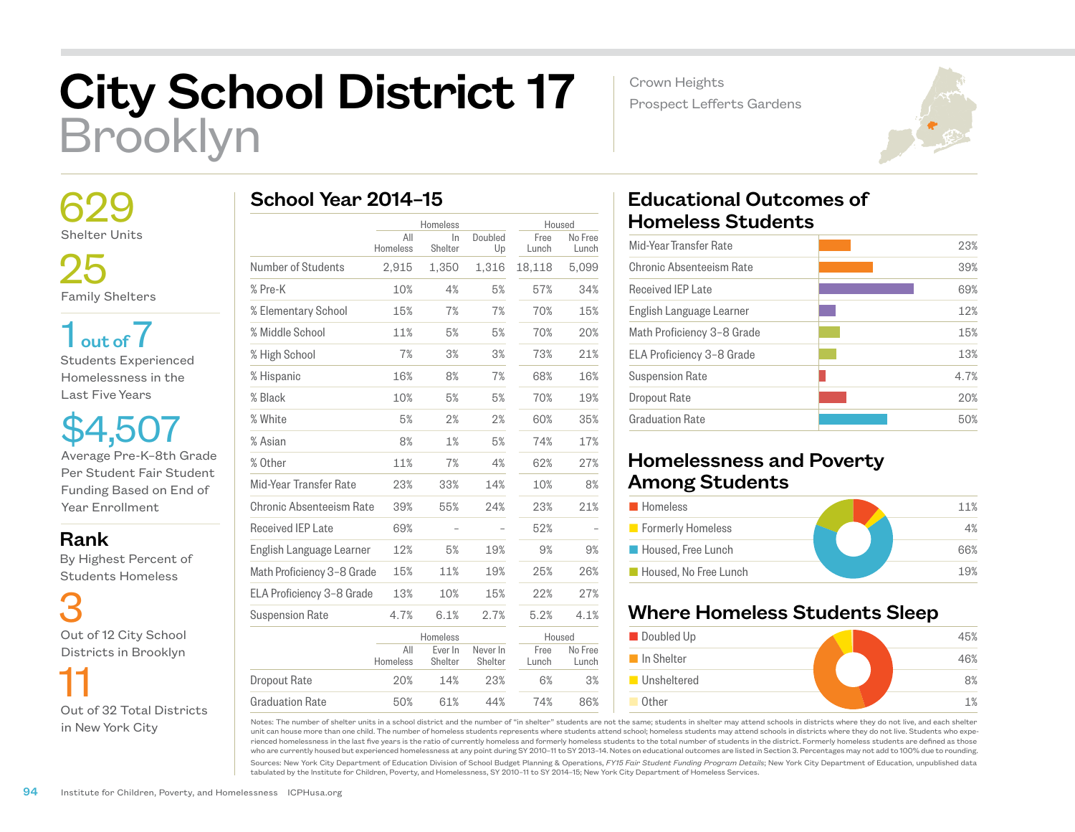# City School District 17 Brooklyn

Crown Heights Prospect Lefferts Gardens



 629 Shelter Units

 25 Family Shelters

 $1<sub>out of</sub> 7$ Students Experienced Homelessness in the Last Five Years

\$4,507 Average Pre-K–8th Grade Per Student Fair Student Funding Based on End of Year Enrollment

# Rank

 By Highest Percent of Students Homeless

 3 Out of 12 City School Districts in Brooklyn



|  |  | School Year 2014-15 |  |
|--|--|---------------------|--|
|--|--|---------------------|--|

|                            |                 | Homeless           |                     | Housed        |                  |
|----------------------------|-----------------|--------------------|---------------------|---------------|------------------|
|                            | All<br>Homeless | In<br>Shelter      | Doubled<br>Up       | Free<br>Lunch | No Free<br>Lunch |
| Number of Students         | 2,915           | 1,350              | 1,316               | 18,118        | 5,099            |
| % Pre-K                    | 10%             | 4%                 | 5%                  | 57%           | 34%              |
| % Elementary School        | 15%             | 7%                 | 7%                  | 70%           | 15%              |
| % Middle School            | 11%             | 5%                 | 5%                  | 70%           | 20%              |
| % High School              | 7%              | 3%                 | 3%                  | 73%           | 21%              |
| % Hispanic                 | 16%             | 8%                 | 7%                  | 68%           | 16%              |
| % Black                    | 10%             | 5%                 | 5%                  | 70%           | 19%              |
| % White                    | 5%              | 2%                 | 2%                  | 60%           | 35%              |
| % Asian                    | 8%              | 1%                 | 5%                  | 74%           | 17%              |
| % Other                    | 11%             | 7%                 | 4%                  | 62%           | 27%              |
| Mid-Year Transfer Rate     | 23%             | 33%                | 14%                 | 10%           | 8%               |
| Chronic Absenteeism Rate   | 39%             | 55%                | 24%                 | 23%           | 21%              |
| Received IEP Late          | 69%             |                    |                     | 52%           |                  |
| English Language Learner   | 12%             | 5%                 | 19%                 | 9%            | 9%               |
| Math Proficiency 3-8 Grade | 15%             | 11%                | 19%                 | 25%           | 26%              |
| ELA Proficiency 3-8 Grade  | 13%             | 10%                | 15%                 | 22%           | 27%              |
| <b>Suspension Rate</b>     | 4.7%            | 6.1%               | 2.7%                | 5.2%          | 4.1%             |
|                            |                 | Homeless           |                     | Housed        |                  |
|                            | All<br>Homeless | Ever In<br>Shelter | Never In<br>Shelter | Free<br>Lunch | No Free<br>Lunch |
| <b>Dropout Rate</b>        | 20%             | 14%                | 23%                 | 6%            | 3%               |
| <b>Graduation Rate</b>     | 50%             | 61%                | 44%                 | 74%           | 86%              |

# Educational Outcomes of Homeless Students

| Mid-Year Transfer Rate     | 23%  |
|----------------------------|------|
| Chronic Absenteeism Rate   | 39%  |
| Received IFP Late          | 69%  |
| English Language Learner   | 12%  |
| Math Proficiency 3-8 Grade | 15%  |
| ELA Proficiency 3-8 Grade  | 13%  |
| <b>Suspension Rate</b>     | 4.7% |
| Dropout Rate               | 20%  |
| <b>Graduation Rate</b>     | 50%  |
|                            |      |

# Homelessness and Poverty Among Students

| <b>Homeless</b>       | 11% |
|-----------------------|-----|
| Formerly Homeless     | 4%  |
| Housed, Free Lunch    | 66% |
| Housed. No Free Lunch | 19% |

# Where Homeless Students Sleep



Notes: The number of shelter units in a school district and the number of "in shelter" students are not the same; students in shelter may attend schools in districts where they do not live, and each shelter unit can house more than one child. The number of homeless students represents where students attend school; homeless students may attend schools in districts where they do not live. Students who experienced homelessness in the last five years is the ratio of currently homeless and formerly homeless students to the total number of students in the district. Formerly homeless students are defined as those who are currently housed but experienced homelessness at any point during SY 2010–11 to SY 2013–14. Notes on educational outcomes are listed in Section 3. Percentages may not add to 100% due to rounding.

Sources: New York City Department of Education Division of School Budget Planning & Operations, *FY15 Fair Student Funding Program Details*; New York City Department of Education, unpublished data tabulated by the Institute for Children, Poverty, and Homelessness, SY 2010–11 to SY 2014–15; New York City Department of Homeless Services.